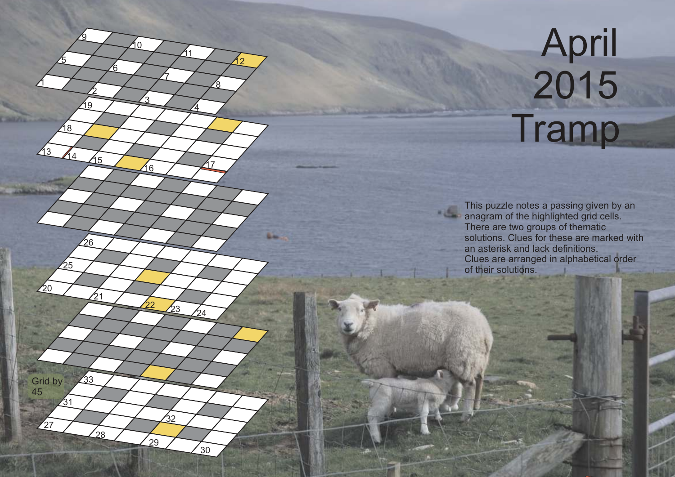## **April**  2015 **Tramp**

1

20

 $31$ 

 $\frac{1}{27}$ 

Grid by 45

33

່າຂ

5

 $\sqrt{13}$   $\sqrt{14}$   $\sqrt{15}$ 

25

18

2

 $^{21}$ 

 $\overline{26}$ 

19

<u>ର</u>

6

3

22

10

7

 $\overline{4}$ 

 $\frac{1}{30}$ 

32

 $29$ 

16 17

 $\frac{23}{24}$ 

11

8

12

This puzzle notes a passing given by an **anagram of the highlighted grid cells.** Clues are arranged in alphabetical order of their solutions. There are two groups of thematic solutions. Clues for these are marked with an asterisk and lack definitions.